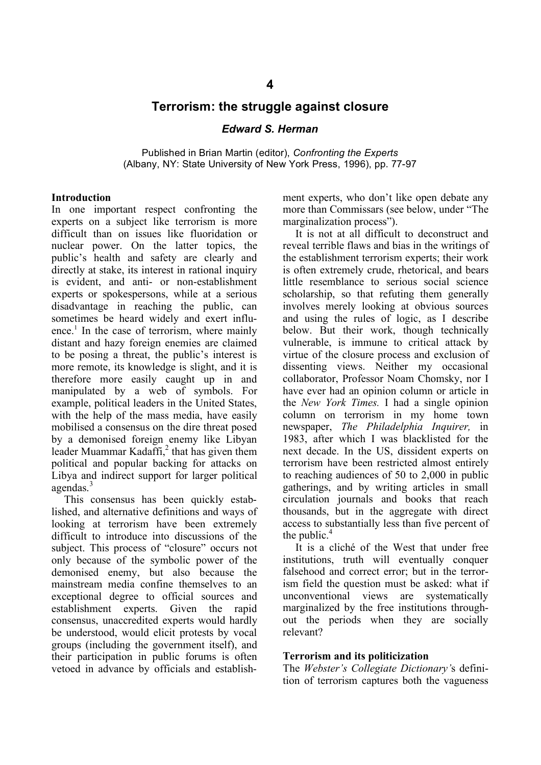# **Terrorism: the struggle against closure**

#### *Edward S. Herman*

Published in Brian Martin (editor), *Confronting the Experts*  (Albany, NY: State University of New York Press, 1996), pp. 77-97

#### **Introduction**

In one important respect confronting the experts on a subject like terrorism is more difficult than on issues like fluoridation or nuclear power. On the latter topics, the public's health and safety are clearly and directly at stake, its interest in rational inquiry is evident, and anti- or non-establishment experts or spokespersons, while at a serious disadvantage in reaching the public, can sometimes be heard widely and exert influence.<sup>1</sup> In the case of terrorism, where mainly distant and hazy foreign enemies are claimed to be posing a threat, the public's interest is more remote, its knowledge is slight, and it is therefore more easily caught up in and manipulated by a web of symbols. For example, political leaders in the United States, with the help of the mass media, have easily mobilised a consensus on the dire threat posed by a demonised foreign enemy like Libyan leader Muammar Kadaffi, $^2$  that has given them political and popular backing for attacks on Libya and indirect support for larger political agendas.<sup>3</sup>

This consensus has been quickly established, and alternative definitions and ways of looking at terrorism have been extremely difficult to introduce into discussions of the subject. This process of "closure" occurs not only because of the symbolic power of the demonised enemy, but also because the mainstream media confine themselves to an exceptional degree to official sources and establishment experts. Given the rapid consensus, unaccredited experts would hardly be understood, would elicit protests by vocal groups (including the government itself), and their participation in public forums is often vetoed in advance by officials and establishment experts, who don't like open debate any more than Commissars (see below, under "The marginalization process").

It is not at all difficult to deconstruct and reveal terrible flaws and bias in the writings of the establishment terrorism experts; their work is often extremely crude, rhetorical, and bears little resemblance to serious social science scholarship, so that refuting them generally involves merely looking at obvious sources and using the rules of logic, as I describe below. But their work, though technically vulnerable, is immune to critical attack by virtue of the closure process and exclusion of dissenting views. Neither my occasional collaborator, Professor Noam Chomsky, nor I have ever had an opinion column or article in the *New York Times.* I had a single opinion column on terrorism in my home town newspaper, *The Philadelphia Inquirer,* in 1983, after which I was blacklisted for the next decade. In the US, dissident experts on terrorism have been restricted almost entirely to reaching audiences of 50 to 2,000 in public gatherings, and by writing articles in small circulation journals and books that reach thousands, but in the aggregate with direct access to substantially less than five percent of the public  $4$ 

It is a cliché of the West that under free institutions, truth will eventually conquer falsehood and correct error; but in the terrorism field the question must be asked: what if unconventional views are systematically marginalized by the free institutions throughout the periods when they are socially relevant?

#### **Terrorism and its politicization**

The *Webster's Collegiate Dictionary'*s definition of terrorism captures both the vagueness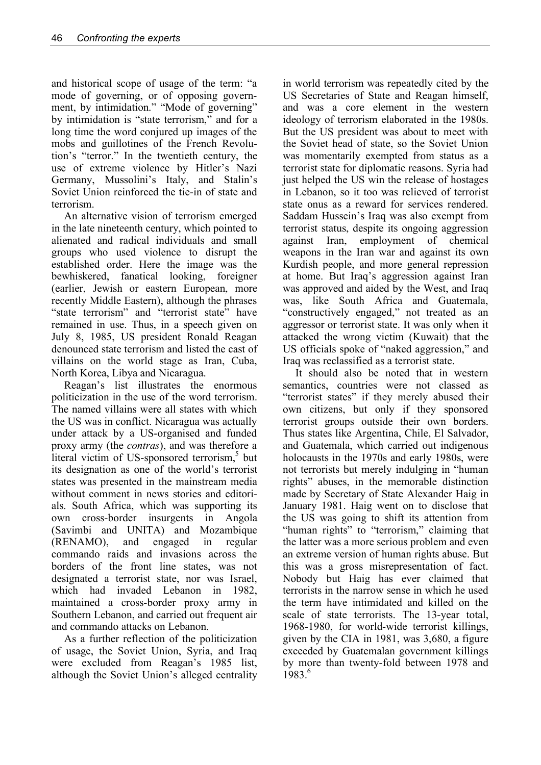and historical scope of usage of the term: "a mode of governing, or of opposing government, by intimidation." "Mode of governing" by intimidation is "state terrorism," and for a long time the word conjured up images of the mobs and guillotines of the French Revolution's "terror." In the twentieth century, the use of extreme violence by Hitler's Nazi Germany, Mussolini's Italy, and Stalin's Soviet Union reinforced the tie-in of state and terrorism.

An alternative vision of terrorism emerged in the late nineteenth century, which pointed to alienated and radical individuals and small groups who used violence to disrupt the established order. Here the image was the bewhiskered, fanatical looking, foreigner (earlier, Jewish or eastern European, more recently Middle Eastern), although the phrases "state terrorism" and "terrorist state" have remained in use. Thus, in a speech given on July 8, 1985, US president Ronald Reagan denounced state terrorism and listed the cast of villains on the world stage as Iran, Cuba, North Korea, Libya and Nicaragua.

Reagan's list illustrates the enormous politicization in the use of the word terrorism. The named villains were all states with which the US was in conflict. Nicaragua was actually under attack by a US-organised and funded proxy army (the *contras*), and was therefore a literal victim of US-sponsored terrorism, $5$  but its designation as one of the world's terrorist states was presented in the mainstream media without comment in news stories and editorials. South Africa, which was supporting its own cross-border insurgents in Angola (Savimbi and UNITA) and Mozambique (RENAMO), and engaged in regular commando raids and invasions across the borders of the front line states, was not designated a terrorist state, nor was Israel, which had invaded Lebanon in 1982, maintained a cross-border proxy army in Southern Lebanon, and carried out frequent air and commando attacks on Lebanon.

As a further reflection of the politicization of usage, the Soviet Union, Syria, and Iraq were excluded from Reagan's 1985 list, although the Soviet Union's alleged centrality

in world terrorism was repeatedly cited by the US Secretaries of State and Reagan himself, and was a core element in the western ideology of terrorism elaborated in the 1980s. But the US president was about to meet with the Soviet head of state, so the Soviet Union was momentarily exempted from status as a terrorist state for diplomatic reasons. Syria had just helped the US win the release of hostages in Lebanon, so it too was relieved of terrorist state onus as a reward for services rendered. Saddam Hussein's Iraq was also exempt from terrorist status, despite its ongoing aggression against Iran, employment of chemical weapons in the Iran war and against its own Kurdish people, and more general repression at home. But Iraq's aggression against Iran was approved and aided by the West, and Iraq was, like South Africa and Guatemala, "constructively engaged," not treated as an aggressor or terrorist state. It was only when it attacked the wrong victim (Kuwait) that the US officials spoke of "naked aggression," and Iraq was reclassified as a terrorist state.

It should also be noted that in western semantics, countries were not classed as "terrorist states" if they merely abused their own citizens, but only if they sponsored terrorist groups outside their own borders. Thus states like Argentina, Chile, El Salvador, and Guatemala, which carried out indigenous holocausts in the 1970s and early 1980s, were not terrorists but merely indulging in "human rights" abuses, in the memorable distinction made by Secretary of State Alexander Haig in January 1981. Haig went on to disclose that the US was going to shift its attention from "human rights" to "terrorism," claiming that the latter was a more serious problem and even an extreme version of human rights abuse. But this was a gross misrepresentation of fact. Nobody but Haig has ever claimed that terrorists in the narrow sense in which he used the term have intimidated and killed on the scale of state terrorists. The 13-year total, 1968-1980, for world-wide terrorist killings, given by the CIA in 1981, was 3,680, a figure exceeded by Guatemalan government killings by more than twenty-fold between 1978 and 1983.6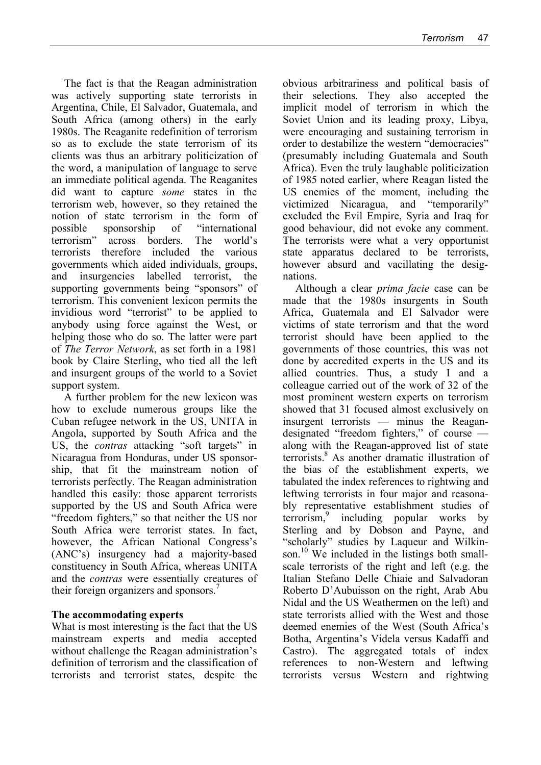The fact is that the Reagan administration was actively supporting state terrorists in Argentina, Chile, El Salvador, Guatemala, and South Africa (among others) in the early 1980s. The Reaganite redefinition of terrorism so as to exclude the state terrorism of its clients was thus an arbitrary politicization of the word, a manipulation of language to serve an immediate political agenda. The Reaganites did want to capture *some* states in the terrorism web, however, so they retained the notion of state terrorism in the form of possible sponsorship of "international terrorism" across borders. The world's terrorists therefore included the various governments which aided individuals, groups, and insurgencies labelled terrorist, the supporting governments being "sponsors" of terrorism. This convenient lexicon permits the invidious word "terrorist" to be applied to anybody using force against the West, or helping those who do so. The latter were part of *The Terror Network*, as set forth in a 1981 book by Claire Sterling, who tied all the left and insurgent groups of the world to a Soviet support system.

A further problem for the new lexicon was how to exclude numerous groups like the Cuban refugee network in the US, UNITA in Angola, supported by South Africa and the US, the *contras* attacking "soft targets" in Nicaragua from Honduras, under US sponsorship, that fit the mainstream notion of terrorists perfectly. The Reagan administration handled this easily: those apparent terrorists supported by the US and South Africa were "freedom fighters," so that neither the US nor South Africa were terrorist states. In fact, however, the African National Congress's (ANC's) insurgency had a majority-based constituency in South Africa, whereas UNITA and the *contras* were essentially creatures of their foreign organizers and sponsors.<sup>7</sup>

## **The accommodating experts**

What is most interesting is the fact that the US mainstream experts and media accepted without challenge the Reagan administration's definition of terrorism and the classification of terrorists and terrorist states, despite the

obvious arbitrariness and political basis of their selections. They also accepted the implicit model of terrorism in which the Soviet Union and its leading proxy, Libya, were encouraging and sustaining terrorism in order to destabilize the western "democracies" (presumably including Guatemala and South Africa). Even the truly laughable politicization of 1985 noted earlier, where Reagan listed the US enemies of the moment, including the victimized Nicaragua, and "temporarily" excluded the Evil Empire, Syria and Iraq for good behaviour, did not evoke any comment. The terrorists were what a very opportunist state apparatus declared to be terrorists, however absurd and vacillating the designations.

Although a clear *prima facie* case can be made that the 1980s insurgents in South Africa, Guatemala and El Salvador were victims of state terrorism and that the word terrorist should have been applied to the governments of those countries, this was not done by accredited experts in the US and its allied countries. Thus, a study I and a colleague carried out of the work of 32 of the most prominent western experts on terrorism showed that 31 focused almost exclusively on insurgent terrorists — minus the Reagandesignated "freedom fighters," of course along with the Reagan-approved list of state terrorists.8 As another dramatic illustration of the bias of the establishment experts, we tabulated the index references to rightwing and leftwing terrorists in four major and reasonably representative establishment studies of  $\text{terrorism}$ , including popular works by Sterling and by Dobson and Payne, and "scholarly" studies by Laqueur and Wilkinson.<sup>10</sup> We included in the listings both smallscale terrorists of the right and left (e.g. the Italian Stefano Delle Chiaie and Salvadoran Roberto D'Aubuisson on the right, Arab Abu Nidal and the US Weathermen on the left) and state terrorists allied with the West and those deemed enemies of the West (South Africa's Botha, Argentina's Videla versus Kadaffi and Castro). The aggregated totals of index references to non-Western and leftwing terrorists versus Western and rightwing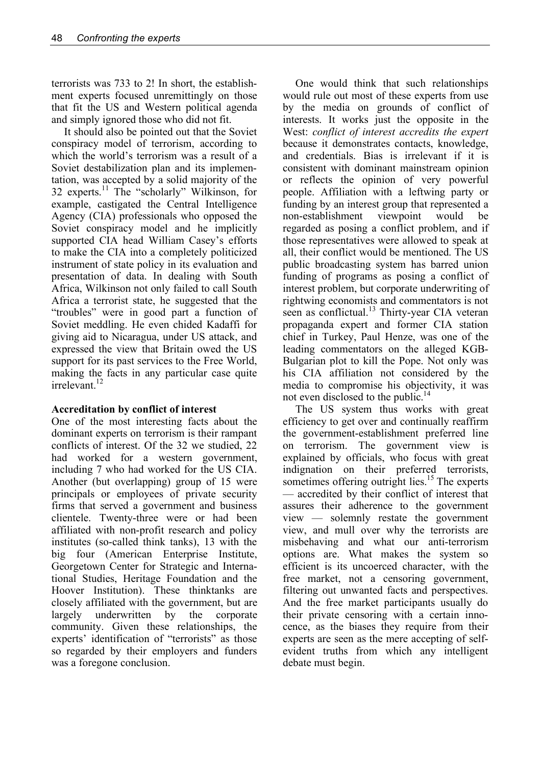terrorists was 733 to 2! In short, the establishment experts focused unremittingly on those that fit the US and Western political agenda and simply ignored those who did not fit.

It should also be pointed out that the Soviet conspiracy model of terrorism, according to which the world's terrorism was a result of a Soviet destabilization plan and its implementation, was accepted by a solid majority of the 32 experts.<sup>11</sup> The "scholarly" Wilkinson, for example, castigated the Central Intelligence Agency (CIA) professionals who opposed the Soviet conspiracy model and he implicitly supported CIA head William Casey's efforts to make the CIA into a completely politicized instrument of state policy in its evaluation and presentation of data. In dealing with South Africa, Wilkinson not only failed to call South Africa a terrorist state, he suggested that the "troubles" were in good part a function of Soviet meddling. He even chided Kadaffi for giving aid to Nicaragua, under US attack, and expressed the view that Britain owed the US support for its past services to the Free World, making the facts in any particular case quite irrelevant<sup>12</sup>

### **Accreditation by conflict of interest**

One of the most interesting facts about the dominant experts on terrorism is their rampant conflicts of interest. Of the 32 we studied, 22 had worked for a western government, including 7 who had worked for the US CIA. Another (but overlapping) group of 15 were principals or employees of private security firms that served a government and business clientele. Twenty-three were or had been affiliated with non-profit research and policy institutes (so-called think tanks), 13 with the big four (American Enterprise Institute, Georgetown Center for Strategic and International Studies, Heritage Foundation and the Hoover Institution). These thinktanks are closely affiliated with the government, but are largely underwritten by the corporate community. Given these relationships, the experts' identification of "terrorists" as those so regarded by their employers and funders was a foregone conclusion.

One would think that such relationships would rule out most of these experts from use by the media on grounds of conflict of interests. It works just the opposite in the West: *conflict of interest accredits the expert* because it demonstrates contacts, knowledge, and credentials. Bias is irrelevant if it is consistent with dominant mainstream opinion or reflects the opinion of very powerful people. Affiliation with a leftwing party or funding by an interest group that represented a non-establishment viewpoint would be regarded as posing a conflict problem, and if those representatives were allowed to speak at all, their conflict would be mentioned. The US public broadcasting system has barred union funding of programs as posing a conflict of interest problem, but corporate underwriting of rightwing economists and commentators is not seen as conflictual.<sup>13</sup> Thirty-year CIA veteran propaganda expert and former CIA station chief in Turkey, Paul Henze, was one of the leading commentators on the alleged KGB-Bulgarian plot to kill the Pope. Not only was his CIA affiliation not considered by the media to compromise his objectivity, it was not even disclosed to the public.<sup>14</sup>

The US system thus works with great efficiency to get over and continually reaffirm the government-establishment preferred line on terrorism. The government view is explained by officials, who focus with great indignation on their preferred terrorists, sometimes offering outright lies.<sup>15</sup> The experts — accredited by their conflict of interest that assures their adherence to the government view — solemnly restate the government view, and mull over why the terrorists are misbehaving and what our anti-terrorism options are. What makes the system so efficient is its uncoerced character, with the free market, not a censoring government, filtering out unwanted facts and perspectives. And the free market participants usually do their private censoring with a certain innocence, as the biases they require from their experts are seen as the mere accepting of selfevident truths from which any intelligent debate must begin.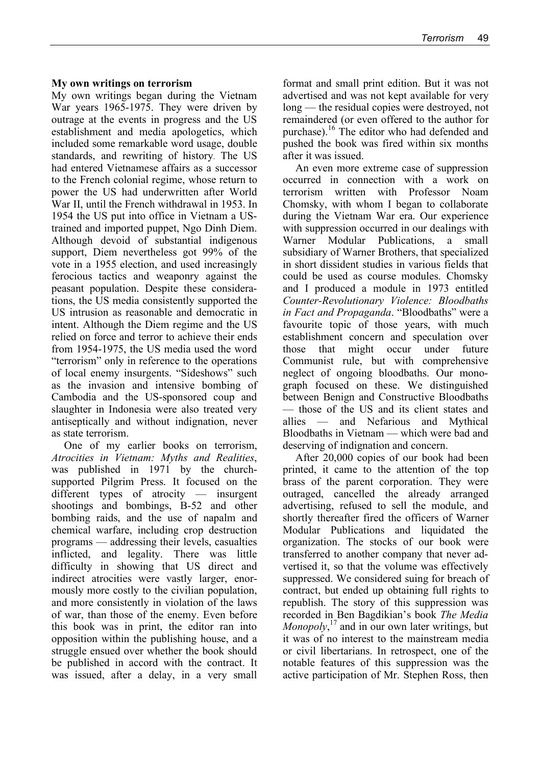#### **My own writings on terrorism**

My own writings began during the Vietnam War years 1965-1975. They were driven by outrage at the events in progress and the US establishment and media apologetics, which included some remarkable word usage, double standards, and rewriting of history. The US had entered Vietnamese affairs as a successor to the French colonial regime, whose return to power the US had underwritten after World War II, until the French withdrawal in 1953. In 1954 the US put into office in Vietnam a UStrained and imported puppet, Ngo Dinh Diem. Although devoid of substantial indigenous support, Diem nevertheless got 99% of the vote in a 1955 election, and used increasingly ferocious tactics and weaponry against the peasant population. Despite these considerations, the US media consistently supported the US intrusion as reasonable and democratic in intent. Although the Diem regime and the US relied on force and terror to achieve their ends from 1954-1975, the US media used the word "terrorism" only in reference to the operations of local enemy insurgents. "Sideshows" such as the invasion and intensive bombing of Cambodia and the US-sponsored coup and slaughter in Indonesia were also treated very antiseptically and without indignation, never as state terrorism.

One of my earlier books on terrorism, *Atrocities in Vietnam: Myths and Realities*, was published in 1971 by the churchsupported Pilgrim Press. It focused on the different types of atrocity — insurgent shootings and bombings, B-52 and other bombing raids, and the use of napalm and chemical warfare, including crop destruction programs — addressing their levels, casualties inflicted, and legality. There was little difficulty in showing that US direct and indirect atrocities were vastly larger, enormously more costly to the civilian population, and more consistently in violation of the laws of war, than those of the enemy. Even before this book was in print, the editor ran into opposition within the publishing house, and a struggle ensued over whether the book should be published in accord with the contract. It was issued, after a delay, in a very small format and small print edition. But it was not advertised and was not kept available for very long — the residual copies were destroyed, not remaindered (or even offered to the author for purchase).<sup>16</sup> The editor who had defended and pushed the book was fired within six months after it was issued.

An even more extreme case of suppression occurred in connection with a work on terrorism written with Professor Noam Chomsky, with whom I began to collaborate during the Vietnam War era. Our experience with suppression occurred in our dealings with Warner Modular Publications, a small subsidiary of Warner Brothers, that specialized in short dissident studies in various fields that could be used as course modules. Chomsky and I produced a module in 1973 entitled *Counter-Revolutionary Violence: Bloodbaths in Fact and Propaganda*. "Bloodbaths" were a favourite topic of those years, with much establishment concern and speculation over those that might occur under future Communist rule, but with comprehensive neglect of ongoing bloodbaths. Our monograph focused on these. We distinguished between Benign and Constructive Bloodbaths — those of the US and its client states and allies — and Nefarious and Mythical Bloodbaths in Vietnam — which were bad and deserving of indignation and concern.

After 20,000 copies of our book had been printed, it came to the attention of the top brass of the parent corporation. They were outraged, cancelled the already arranged advertising, refused to sell the module, and shortly thereafter fired the officers of Warner Modular Publications and liquidated the organization. The stocks of our book were transferred to another company that never advertised it, so that the volume was effectively suppressed. We considered suing for breach of contract, but ended up obtaining full rights to republish. The story of this suppression was recorded in Ben Bagdikian's book *The Media Monopoly*, 17 and in our own later writings, but it was of no interest to the mainstream media or civil libertarians. In retrospect, one of the notable features of this suppression was the active participation of Mr. Stephen Ross, then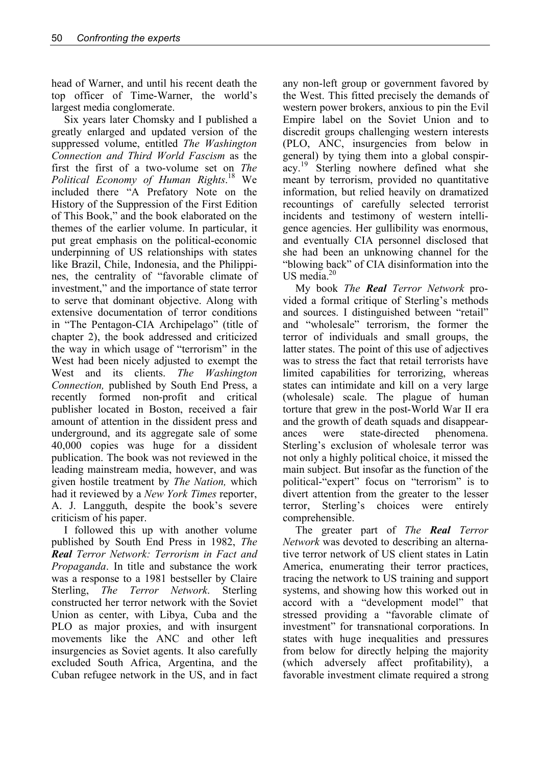head of Warner, and until his recent death the top officer of Time-Warner, the world's largest media conglomerate.

Six years later Chomsky and I published a greatly enlarged and updated version of the suppressed volume, entitled *The Washington Connection and Third World Fascism* as the first the first of a two-volume set on *The Political Economy of Human Rights*. 18 We included there "A Prefatory Note on the History of the Suppression of the First Edition of This Book," and the book elaborated on the themes of the earlier volume. In particular, it put great emphasis on the political-economic underpinning of US relationships with states like Brazil, Chile, Indonesia, and the Philippines, the centrality of "favorable climate of investment," and the importance of state terror to serve that dominant objective. Along with extensive documentation of terror conditions in "The Pentagon-CIA Archipelago" (title of chapter 2), the book addressed and criticized the way in which usage of "terrorism" in the West had been nicely adjusted to exempt the West and its clients. *The Washington Connection,* published by South End Press, a recently formed non-profit and critical publisher located in Boston, received a fair amount of attention in the dissident press and underground, and its aggregate sale of some 40,000 copies was huge for a dissident publication. The book was not reviewed in the leading mainstream media, however, and was given hostile treatment by *The Nation,* which had it reviewed by a *New York Times* reporter, A. J. Langguth, despite the book's severe criticism of his paper.

I followed this up with another volume published by South End Press in 1982, *The Real Terror Network: Terrorism in Fact and Propaganda*. In title and substance the work was a response to a 1981 bestseller by Claire Sterling, *The Terror Network*. Sterling constructed her terror network with the Soviet Union as center, with Libya, Cuba and the PLO as major proxies, and with insurgent movements like the ANC and other left insurgencies as Soviet agents. It also carefully excluded South Africa, Argentina, and the Cuban refugee network in the US, and in fact any non-left group or government favored by the West. This fitted precisely the demands of western power brokers, anxious to pin the Evil Empire label on the Soviet Union and to discredit groups challenging western interests (PLO, ANC, insurgencies from below in general) by tying them into a global conspiracy.<sup>19</sup> Sterling nowhere defined what she meant by terrorism, provided no quantitative information, but relied heavily on dramatized recountings of carefully selected terrorist incidents and testimony of western intelligence agencies. Her gullibility was enormous, and eventually CIA personnel disclosed that she had been an unknowing channel for the "blowing back" of CIA disinformation into the US media. $20$ 

My book *The Real Terror Network* provided a formal critique of Sterling's methods and sources. I distinguished between "retail" and "wholesale" terrorism, the former the terror of individuals and small groups, the latter states. The point of this use of adjectives was to stress the fact that retail terrorists have limited capabilities for terrorizing, whereas states can intimidate and kill on a very large (wholesale) scale. The plague of human torture that grew in the post-World War II era and the growth of death squads and disappearances were state-directed phenomena. Sterling's exclusion of wholesale terror was not only a highly political choice, it missed the main subject. But insofar as the function of the political-"expert" focus on "terrorism" is to divert attention from the greater to the lesser terror, Sterling's choices were entirely comprehensible.

The greater part of *The Real Terror Network* was devoted to describing an alternative terror network of US client states in Latin America, enumerating their terror practices, tracing the network to US training and support systems, and showing how this worked out in accord with a "development model" that stressed providing a "favorable climate of investment" for transnational corporations. In states with huge inequalities and pressures from below for directly helping the majority (which adversely affect profitability), a favorable investment climate required a strong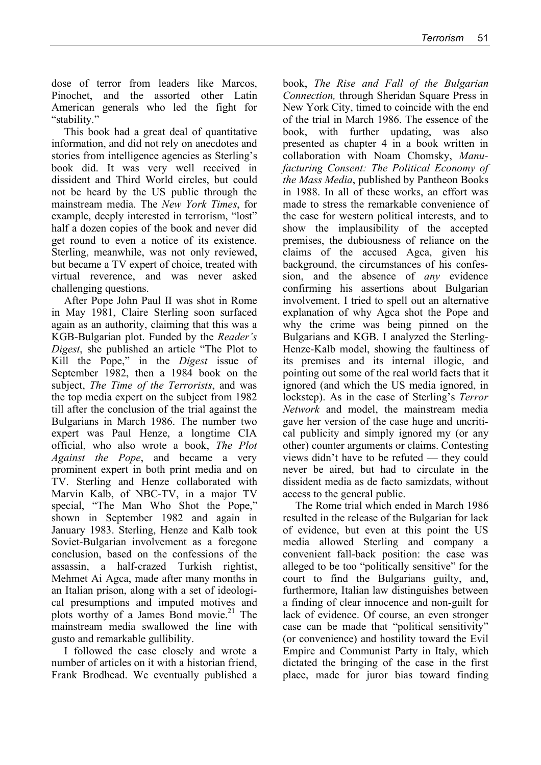dose of terror from leaders like Marcos, Pinochet, and the assorted other Latin American generals who led the fight for "stability."

This book had a great deal of quantitative information, and did not rely on anecdotes and stories from intelligence agencies as Sterling's book did. It was very well received in dissident and Third World circles, but could not be heard by the US public through the mainstream media. The *New York Times*, for example, deeply interested in terrorism, "lost" half a dozen copies of the book and never did get round to even a notice of its existence. Sterling, meanwhile, was not only reviewed, but became a TV expert of choice, treated with virtual reverence, and was never asked challenging questions.

After Pope John Paul II was shot in Rome in May 1981, Claire Sterling soon surfaced again as an authority, claiming that this was a KGB-Bulgarian plot. Funded by the *Reader's Digest*, she published an article "The Plot to Kill the Pope," in the *Digest* issue of September 1982, then a 1984 book on the subject, *The Time of the Terrorists*, and was the top media expert on the subject from 1982 till after the conclusion of the trial against the Bulgarians in March 1986. The number two expert was Paul Henze, a longtime CIA official, who also wrote a book, *The Plot Against the Pope*, and became a very prominent expert in both print media and on TV. Sterling and Henze collaborated with Marvin Kalb, of NBC-TV, in a major TV special, "The Man Who Shot the Pope," shown in September 1982 and again in January 1983. Sterling, Henze and Kalb took Soviet-Bulgarian involvement as a foregone conclusion, based on the confessions of the assassin, a half-crazed Turkish rightist, Mehmet Ai Agca, made after many months in an Italian prison, along with a set of ideological presumptions and imputed motives and plots worthy of a James Bond movie. $21$  The mainstream media swallowed the line with gusto and remarkable gullibility.

I followed the case closely and wrote a number of articles on it with a historian friend, Frank Brodhead. We eventually published a

book, *The Rise and Fall of the Bulgarian Connection,* through Sheridan Square Press in New York City, timed to coincide with the end of the trial in March 1986. The essence of the book, with further updating, was also presented as chapter 4 in a book written in collaboration with Noam Chomsky, *Manufacturing Consent: The Political Economy of the Mass Media*, published by Pantheon Books in 1988. In all of these works, an effort was made to stress the remarkable convenience of the case for western political interests, and to show the implausibility of the accepted premises, the dubiousness of reliance on the claims of the accused Agca, given his background, the circumstances of his confession, and the absence of *any* evidence confirming his assertions about Bulgarian involvement. I tried to spell out an alternative explanation of why Agca shot the Pope and why the crime was being pinned on the Bulgarians and KGB. I analyzed the Sterling-Henze-Kalb model, showing the faultiness of its premises and its internal illogic, and pointing out some of the real world facts that it ignored (and which the US media ignored, in lockstep). As in the case of Sterling's *Terror Network* and model, the mainstream media gave her version of the case huge and uncritical publicity and simply ignored my (or any other) counter arguments or claims. Contesting views didn't have to be refuted — they could never be aired, but had to circulate in the dissident media as de facto samizdats, without access to the general public.

The Rome trial which ended in March 1986 resulted in the release of the Bulgarian for lack of evidence, but even at this point the US media allowed Sterling and company a convenient fall-back position: the case was alleged to be too "politically sensitive" for the court to find the Bulgarians guilty, and, furthermore, Italian law distinguishes between a finding of clear innocence and non-guilt for lack of evidence. Of course, an even stronger case can be made that "political sensitivity" (or convenience) and hostility toward the Evil Empire and Communist Party in Italy, which dictated the bringing of the case in the first place, made for juror bias toward finding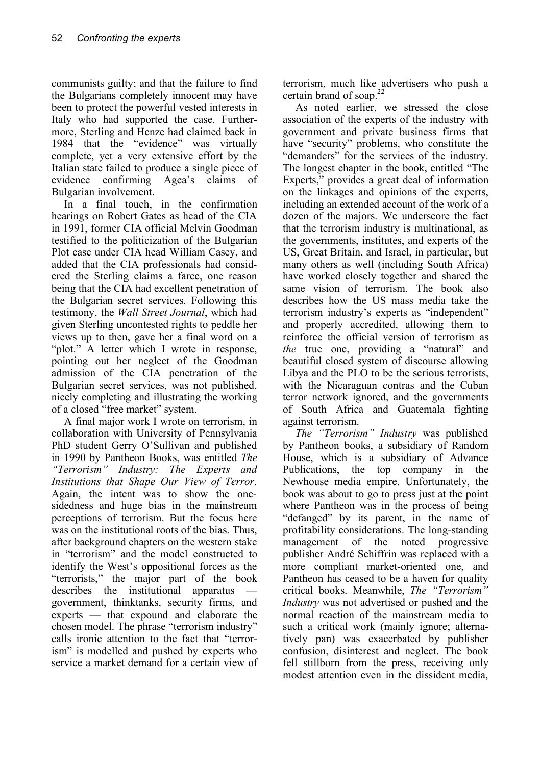communists guilty; and that the failure to find the Bulgarians completely innocent may have been to protect the powerful vested interests in Italy who had supported the case. Furthermore, Sterling and Henze had claimed back in 1984 that the "evidence" was virtually complete, yet a very extensive effort by the Italian state failed to produce a single piece of evidence confirming Agca's claims of Bulgarian involvement.

In a final touch, in the confirmation hearings on Robert Gates as head of the CIA in 1991, former CIA official Melvin Goodman testified to the politicization of the Bulgarian Plot case under CIA head William Casey, and added that the CIA professionals had considered the Sterling claims a farce, one reason being that the CIA had excellent penetration of the Bulgarian secret services. Following this testimony, the *Wall Street Journal*, which had given Sterling uncontested rights to peddle her views up to then, gave her a final word on a "plot." A letter which I wrote in response, pointing out her neglect of the Goodman admission of the CIA penetration of the Bulgarian secret services, was not published, nicely completing and illustrating the working of a closed "free market" system.

A final major work I wrote on terrorism, in collaboration with University of Pennsylvania PhD student Gerry O'Sullivan and published in 1990 by Pantheon Books, was entitled *The "Terrorism" Industry: The Experts and Institutions that Shape Our View of Terror*. Again, the intent was to show the onesidedness and huge bias in the mainstream perceptions of terrorism. But the focus here was on the institutional roots of the bias. Thus, after background chapters on the western stake in "terrorism" and the model constructed to identify the West's oppositional forces as the "terrorists," the major part of the book describes the institutional apparatus government, thinktanks, security firms, and experts — that expound and elaborate the chosen model. The phrase "terrorism industry" calls ironic attention to the fact that "terrorism" is modelled and pushed by experts who service a market demand for a certain view of terrorism, much like advertisers who push a certain brand of soap. $2^2$ 

As noted earlier, we stressed the close association of the experts of the industry with government and private business firms that have "security" problems, who constitute the "demanders" for the services of the industry. The longest chapter in the book, entitled "The Experts," provides a great deal of information on the linkages and opinions of the experts, including an extended account of the work of a dozen of the majors. We underscore the fact that the terrorism industry is multinational, as the governments, institutes, and experts of the US, Great Britain, and Israel, in particular, but many others as well (including South Africa) have worked closely together and shared the same vision of terrorism. The book also describes how the US mass media take the terrorism industry's experts as "independent" and properly accredited, allowing them to reinforce the official version of terrorism as *the* true one, providing a "natural" and beautiful closed system of discourse allowing Libya and the PLO to be the serious terrorists, with the Nicaraguan contras and the Cuban terror network ignored, and the governments of South Africa and Guatemala fighting against terrorism.

*The "Terrorism" Industry* was published by Pantheon books, a subsidiary of Random House, which is a subsidiary of Advance Publications, the top company in the Newhouse media empire. Unfortunately, the book was about to go to press just at the point where Pantheon was in the process of being "defanged" by its parent, in the name of profitability considerations. The long-standing management of the noted progressive publisher André Schiffrin was replaced with a more compliant market-oriented one, and Pantheon has ceased to be a haven for quality critical books. Meanwhile, *The "Terrorism" Industry* was not advertised or pushed and the normal reaction of the mainstream media to such a critical work (mainly ignore; alternatively pan) was exacerbated by publisher confusion, disinterest and neglect. The book fell stillborn from the press, receiving only modest attention even in the dissident media,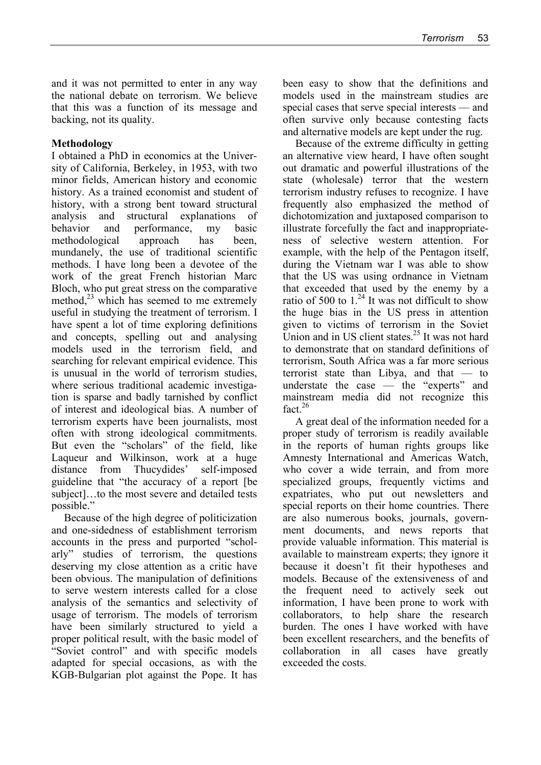and it was not permitted to enter in any way the national debate on terrorism. We believe that this was a function of its message and backing, not its quality.

## **Methodology**

I obtained a PhD in economics at the University of California, Berkeley, in 1953, with two minor fields, American history and economic history. As a trained economist and student of history, with a strong bent toward structural analysis and structural explanations of behavior and performance, my basic methodological approach has been, mundanely, the use of traditional scientific methods. I have long been a devotee of the work of the great French historian Marc Bloch, who put great stress on the comparative method, $23$  which has seemed to me extremely useful in studying the treatment of terrorism. I have spent a lot of time exploring definitions and concepts, spelling out and analysing models used in the terrorism field, and searching for relevant empirical evidence. This is unusual in the world of terrorism studies, where serious traditional academic investigation is sparse and badly tarnished by conflict of interest and ideological bias. A number of terrorism experts have been journalists, most often with strong ideological commitments. But even the "scholars" of the field, like Laqueur and Wilkinson, work at a huge distance from Thucydides' self-imposed guideline that "the accuracy of a report [be subject]…to the most severe and detailed tests possible."

Because of the high degree of politicization and one-sidedness of establishment terrorism accounts in the press and purported "scholarly" studies of terrorism, the questions deserving my close attention as a critic have been obvious. The manipulation of definitions to serve western interests called for a close analysis of the semantics and selectivity of usage of terrorism. The models of terrorism have been similarly structured to yield a proper political result, with the basic model of "Soviet control" and with specific models adapted for special occasions, as with the KGB-Bulgarian plot against the Pope. It has

been easy to show that the definitions and models used in the mainstream studies are special cases that serve special interests — and often survive only because contesting facts and alternative models are kept under the rug.

Because of the extreme difficulty in getting an alternative view heard, I have often sought out dramatic and powerful illustrations of the state (wholesale) terror that the western terrorism industry refuses to recognize. I have frequently also emphasized the method of dichotomization and juxtaposed comparison to illustrate forcefully the fact and inappropriateness of selective western attention. For example, with the help of the Pentagon itself, during the Vietnam war I was able to show that the US was using ordnance in Vietnam that exceeded that used by the enemy by a ratio of 500 to  $1.^{24}$  It was not difficult to show the huge bias in the US press in attention given to victims of terrorism in the Soviet Union and in US client states.<sup>25</sup> It was not hard to demonstrate that on standard definitions of terrorism, South Africa was a far more serious terrorist state than Libya, and that — to understate the case — the "experts" and mainstream media did not recognize this  $fact.<sup>26</sup>$ 

A great deal of the information needed for a proper study of terrorism is readily available in the reports of human rights groups like Amnesty International and Americas Watch, who cover a wide terrain, and from more specialized groups, frequently victims and expatriates, who put out newsletters and special reports on their home countries. There are also numerous books, journals, government documents, and news reports that provide valuable information. This material is available to mainstream experts; they ignore it because it doesn't fit their hypotheses and models. Because of the extensiveness of and the frequent need to actively seek out information, I have been prone to work with collaborators, to help share the research burden. The ones I have worked with have been excellent researchers, and the benefits of collaboration in all cases have greatly exceeded the costs.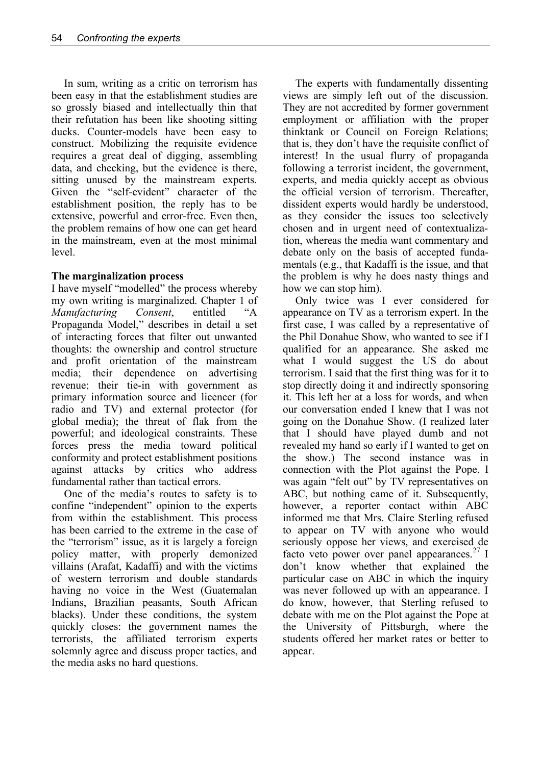In sum, writing as a critic on terrorism has been easy in that the establishment studies are so grossly biased and intellectually thin that their refutation has been like shooting sitting ducks. Counter-models have been easy to construct. Mobilizing the requisite evidence requires a great deal of digging, assembling data, and checking, but the evidence is there, sitting unused by the mainstream experts. Given the "self-evident" character of the establishment position, the reply has to be extensive, powerful and error-free. Even then, the problem remains of how one can get heard in the mainstream, even at the most minimal level.

## **The marginalization process**

I have myself "modelled" the process whereby my own writing is marginalized. Chapter 1 of *Manufacturing Consent*, entitled "A Propaganda Model," describes in detail a set of interacting forces that filter out unwanted thoughts: the ownership and control structure and profit orientation of the mainstream media; their dependence on advertising revenue; their tie-in with government as primary information source and licencer (for radio and TV) and external protector (for global media); the threat of flak from the powerful; and ideological constraints. These forces press the media toward political conformity and protect establishment positions against attacks by critics who address fundamental rather than tactical errors.

One of the media's routes to safety is to confine "independent" opinion to the experts from within the establishment. This process has been carried to the extreme in the case of the "terrorism" issue, as it is largely a foreign policy matter, with properly demonized villains (Arafat, Kadaffi) and with the victims of western terrorism and double standards having no voice in the West (Guatemalan Indians, Brazilian peasants, South African blacks). Under these conditions, the system quickly closes: the government names the terrorists, the affiliated terrorism experts solemnly agree and discuss proper tactics, and the media asks no hard questions.

The experts with fundamentally dissenting views are simply left out of the discussion. They are not accredited by former government employment or affiliation with the proper thinktank or Council on Foreign Relations; that is, they don't have the requisite conflict of interest! In the usual flurry of propaganda following a terrorist incident, the government, experts, and media quickly accept as obvious the official version of terrorism. Thereafter, dissident experts would hardly be understood, as they consider the issues too selectively chosen and in urgent need of contextualization, whereas the media want commentary and debate only on the basis of accepted fundamentals (e.g., that Kadaffi is the issue, and that the problem is why he does nasty things and how we can stop him).

Only twice was I ever considered for appearance on TV as a terrorism expert. In the first case, I was called by a representative of the Phil Donahue Show, who wanted to see if I qualified for an appearance. She asked me what I would suggest the US do about terrorism. I said that the first thing was for it to stop directly doing it and indirectly sponsoring it. This left her at a loss for words, and when our conversation ended I knew that I was not going on the Donahue Show. (I realized later that I should have played dumb and not revealed my hand so early if I wanted to get on the show.) The second instance was in connection with the Plot against the Pope. I was again "felt out" by TV representatives on ABC, but nothing came of it. Subsequently, however, a reporter contact within ABC informed me that Mrs. Claire Sterling refused to appear on TV with anyone who would seriously oppose her views, and exercised de facto veto power over panel appearances.<sup>27</sup> I don't know whether that explained the particular case on ABC in which the inquiry was never followed up with an appearance. I do know, however, that Sterling refused to debate with me on the Plot against the Pope at the University of Pittsburgh, where the students offered her market rates or better to appear.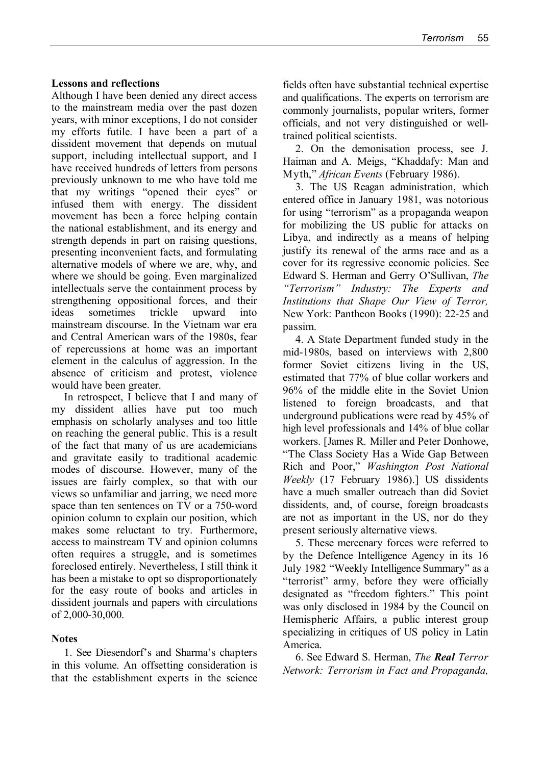### **Lessons and reflections**

Although I have been denied any direct access to the mainstream media over the past dozen years, with minor exceptions, I do not consider my efforts futile. I have been a part of a dissident movement that depends on mutual support, including intellectual support, and I have received hundreds of letters from persons previously unknown to me who have told me that my writings "opened their eyes" or infused them with energy. The dissident movement has been a force helping contain the national establishment, and its energy and strength depends in part on raising questions, presenting inconvenient facts, and formulating alternative models of where we are, why, and where we should be going. Even marginalized intellectuals serve the containment process by strengthening oppositional forces, and their ideas sometimes trickle upward into mainstream discourse. In the Vietnam war era and Central American wars of the 1980s, fear of repercussions at home was an important element in the calculus of aggression. In the absence of criticism and protest, violence would have been greater.

In retrospect, I believe that I and many of my dissident allies have put too much emphasis on scholarly analyses and too little on reaching the general public. This is a result of the fact that many of us are academicians and gravitate easily to traditional academic modes of discourse. However, many of the issues are fairly complex, so that with our views so unfamiliar and jarring, we need more space than ten sentences on TV or a 750-word opinion column to explain our position, which makes some reluctant to try. Furthermore, access to mainstream TV and opinion columns often requires a struggle, and is sometimes foreclosed entirely. Nevertheless, I still think it has been a mistake to opt so disproportionately for the easy route of books and articles in dissident journals and papers with circulations of 2,000-30,000.

## **Notes**

1. See Diesendorf's and Sharma's chapters in this volume. An offsetting consideration is that the establishment experts in the science fields often have substantial technical expertise and qualifications. The experts on terrorism are commonly journalists, popular writers, former officials, and not very distinguished or welltrained political scientists.

2. On the demonisation process, see J. Haiman and A. Meigs, "Khaddafy: Man and Myth," *African Events* (February 1986).

3. The US Reagan administration, which entered office in January 1981, was notorious for using "terrorism" as a propaganda weapon for mobilizing the US public for attacks on Libya, and indirectly as a means of helping justify its renewal of the arms race and as a cover for its regressive economic policies. See Edward S. Herman and Gerry O'Sullivan, *The "Terrorism" Industry: The Experts and Institutions that Shape Our View of Terror,* New York: Pantheon Books (1990): 22-25 and passim.

4. A State Department funded study in the mid-1980s, based on interviews with 2,800 former Soviet citizens living in the US, estimated that 77% of blue collar workers and 96% of the middle elite in the Soviet Union listened to foreign broadcasts, and that underground publications were read by 45% of high level professionals and 14% of blue collar workers. [James R. Miller and Peter Donhowe, "The Class Society Has a Wide Gap Between Rich and Poor," *Washington Post National Weekly* (17 February 1986).] US dissidents have a much smaller outreach than did Soviet dissidents, and, of course, foreign broadcasts are not as important in the US, nor do they present seriously alternative views.

5. These mercenary forces were referred to by the Defence Intelligence Agency in its 16 July 1982 "Weekly Intelligence Summary" as a "terrorist" army, before they were officially designated as "freedom fighters." This point was only disclosed in 1984 by the Council on Hemispheric Affairs, a public interest group specializing in critiques of US policy in Latin America.

6. See Edward S. Herman, *The Real Terror Network: Terrorism in Fact and Propaganda,*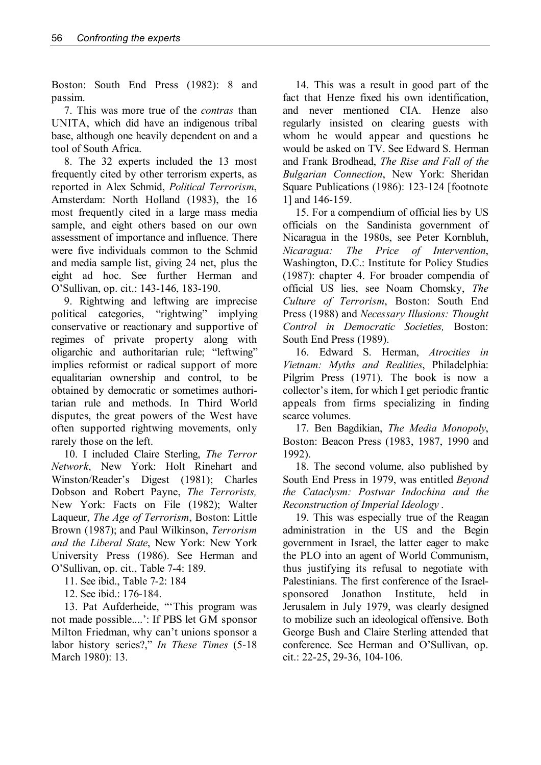Boston: South End Press (1982): 8 and passim.

7. This was more true of the *contras* than UNITA, which did have an indigenous tribal base, although one heavily dependent on and a tool of South Africa.

8. The 32 experts included the 13 most frequently cited by other terrorism experts, as reported in Alex Schmid, *Political Terrorism*, Amsterdam: North Holland (1983), the 16 most frequently cited in a large mass media sample, and eight others based on our own assessment of importance and influence. There were five individuals common to the Schmid and media sample list, giving 24 net, plus the eight ad hoc. See further Herman and O'Sullivan, op. cit.: 143-146, 183-190.

9. Rightwing and leftwing are imprecise political categories, "rightwing" implying conservative or reactionary and supportive of regimes of private property along with oligarchic and authoritarian rule; "leftwing" implies reformist or radical support of more equalitarian ownership and control, to be obtained by democratic or sometimes authoritarian rule and methods. In Third World disputes, the great powers of the West have often supported rightwing movements, only rarely those on the left.

10. I included Claire Sterling, *The Terror Network*, New York: Holt Rinehart and Winston/Reader's Digest (1981); Charles Dobson and Robert Payne, *The Terrorists,* New York: Facts on File (1982); Walter Laqueur, *The Age of Terrorism*, Boston: Little Brown (1987); and Paul Wilkinson, *Terrorism and the Liberal State*, New York: New York University Press (1986). See Herman and O'Sullivan, op. cit., Table 7-4: 189.

11. See ibid., Table 7-2: 184

12. See ibid.: 176-184.

13. Pat Aufderheide, "'This program was not made possible....': If PBS let GM sponsor Milton Friedman, why can't unions sponsor a labor history series?," *In These Times* (5-18 March 1980): 13.

14. This was a result in good part of the fact that Henze fixed his own identification, and never mentioned CIA. Henze also regularly insisted on clearing guests with whom he would appear and questions he would be asked on TV. See Edward S. Herman and Frank Brodhead, *The Rise and Fall of the Bulgarian Connection*, New York: Sheridan Square Publications (1986): 123-124 [footnote 1] and 146-159.

15. For a compendium of official lies by US officials on the Sandinista government of Nicaragua in the 1980s, see Peter Kornbluh, *Nicaragua: The Price of Intervention*, Washington, D.C.: Institute for Policy Studies (1987): chapter 4. For broader compendia of official US lies, see Noam Chomsky, *The Culture of Terrorism*, Boston: South End Press (1988) and *Necessary Illusions: Thought Control in Democratic Societies,* Boston: South End Press (1989).

16. Edward S. Herman, *Atrocities in Vietnam: Myths and Realities*, Philadelphia: Pilgrim Press (1971). The book is now a collector's item, for which I get periodic frantic appeals from firms specializing in finding scarce volumes.

17. Ben Bagdikian, *The Media Monopoly*, Boston: Beacon Press (1983, 1987, 1990 and 1992).

18. The second volume, also published by South End Press in 1979, was entitled *Beyond the Cataclysm: Postwar Indochina and the Reconstruction of Imperial Ideology* .

19. This was especially true of the Reagan administration in the US and the Begin government in Israel, the latter eager to make the PLO into an agent of World Communism, thus justifying its refusal to negotiate with Palestinians. The first conference of the Israelsponsored Jonathon Institute, held Jerusalem in July 1979, was clearly designed to mobilize such an ideological offensive. Both George Bush and Claire Sterling attended that conference. See Herman and O'Sullivan, op. cit.: 22-25, 29-36, 104-106.